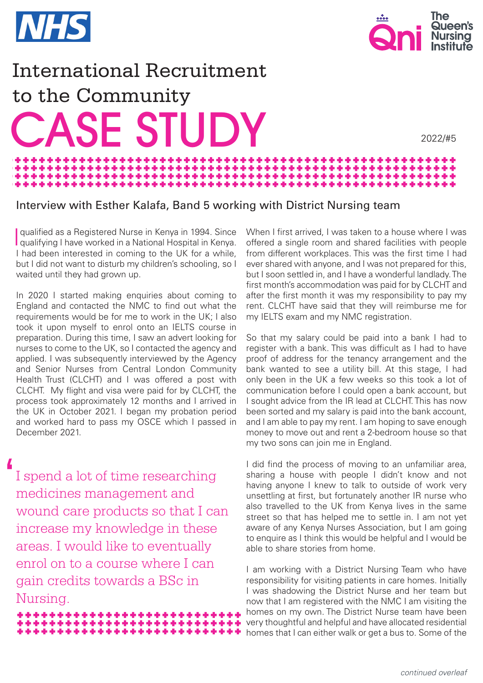



2022/#5

## International Recruitment to the Community **ASE STUDY** \*\*\*\*\*\*\*\*\*\*\*\*\* والمراجل والرابط

de de de de

医高压力压力

## Interview with Esther Kalafa, Band 5 working with District Nursing team

the sheak of the first sheak of the

I qualifying I have worked in a National Hospital in Kenya. qualified as a Registered Nurse in Kenya in 1994. Since I had been interested in coming to the UK for a while, but I did not want to disturb my children's schooling, so I waited until they had grown up.

In 2020 I started making enquiries about coming to England and contacted the NMC to find out what the requirements would be for me to work in the UK; I also took it upon myself to enrol onto an IELTS course in preparation. During this time, I saw an advert looking for nurses to come to the UK, so I contacted the agency and applied. I was subsequently interviewed by the Agency and Senior Nurses from Central London Community Health Trust (CLCHT) and I was offered a post with CLCHT. My flight and visa were paid for by CLCHT, the process took approximately 12 months and I arrived in the UK in October 2021. I began my probation period and worked hard to pass my OSCE which I passed in December 2021.

I spend a lot of time researching medicines management and wound care products so that I can increase my knowledge in these areas. I would like to eventually enrol on to a course where I can gain credits towards a BSc in Nursing.  $\overline{\phantom{a}}$ 

> \*\*\*\*\*\*\*\*\*\*\*\*\*\*\*\*\*\*\*\* \*\*\*\*\*\*\*\*\*\*\*\*\*\*\*\*\*\*\*\*\*\*\*\*\*\* \*\*\*\*\*\*\*\*\*\*\*\*\*\*\*\*\*\*\*\*\*\*\*\*

When I first arrived, I was taken to a house where I was offered a single room and shared facilities with people from different workplaces. This was the first time I had ever shared with anyone, and I was not prepared for this, but I soon settled in, and I have a wonderful landlady. The first month's accommodation was paid for by CLCHT and after the first month it was my responsibility to pay my rent. CLCHT have said that they will reimburse me for my IELTS exam and my NMC registration.

So that my salary could be paid into a bank I had to register with a bank. This was difficult as I had to have proof of address for the tenancy arrangement and the bank wanted to see a utility bill. At this stage, I had only been in the UK a few weeks so this took a lot of communication before I could open a bank account, but I sought advice from the IR lead at CLCHT. This has now been sorted and my salary is paid into the bank account, and I am able to pay my rent. I am hoping to save enough money to move out and rent a 2-bedroom house so that my two sons can join me in England.

I did find the process of moving to an unfamiliar area, sharing a house with people I didn't know and not having anyone I knew to talk to outside of work very unsettling at first, but fortunately another IR nurse who also travelled to the UK from Kenya lives in the same street so that has helped me to settle in. I am not yet aware of any Kenya Nurses Association, but I am going to enquire as I think this would be helpful and I would be able to share stories from home.

I am working with a District Nursing Team who have responsibility for visiting patients in care homes. Initially I was shadowing the District Nurse and her team but now that I am registered with the NMC I am visiting the homes on my own. The District Nurse team have been very thoughtful and helpful and have allocated residential homes that I can either walk or get a bus to. Some of the